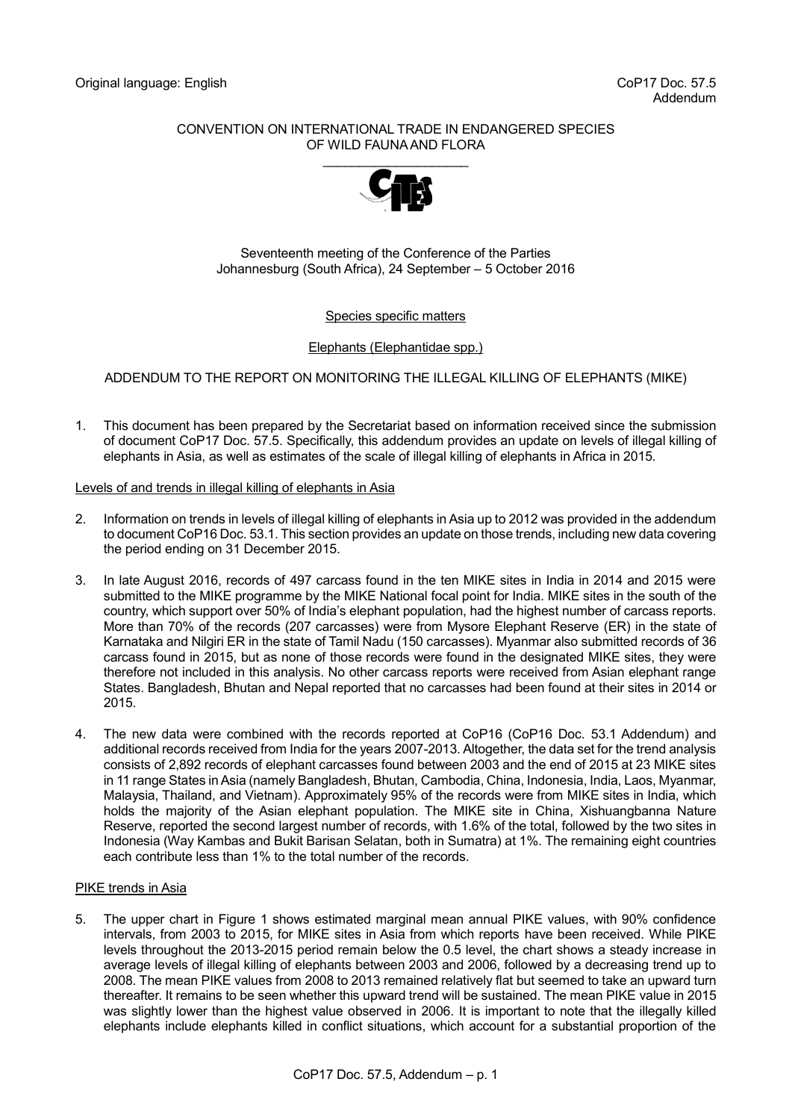## CONVENTION ON INTERNATIONAL TRADE IN ENDANGERED SPECIES OF WILD FAUNA AND FLORA



### Seventeenth meeting of the Conference of the Parties Johannesburg (South Africa), 24 September – 5 October 2016

## Species specific matters

## Elephants (Elephantidae spp.)

# ADDENDUM TO THE REPORT ON MONITORING THE ILLEGAL KILLING OF ELEPHANTS (MIKE)

1. This document has been prepared by the Secretariat based on information received since the submission of document CoP17 Doc. 57.5. Specifically, this addendum provides an update on levels of illegal killing of elephants in Asia, as well as estimates of the scale of illegal killing of elephants in Africa in 2015.

## Levels of and trends in illegal killing of elephants in Asia

- 2. Information on trends in levels of illegal killing of elephants in Asia up to 2012 was provided in the addendum to document CoP16 Doc. 53.1. This section provides an update on those trends, including new data covering the period ending on 31 December 2015.
- 3. In late August 2016, records of 497 carcass found in the ten MIKE sites in India in 2014 and 2015 were submitted to the MIKE programme by the MIKE National focal point for India. MIKE sites in the south of the country, which support over 50% of India's elephant population, had the highest number of carcass reports. More than 70% of the records (207 carcasses) were from Mysore Elephant Reserve (ER) in the state of Karnataka and Nilgiri ER in the state of Tamil Nadu (150 carcasses). Myanmar also submitted records of 36 carcass found in 2015, but as none of those records were found in the designated MIKE sites, they were therefore not included in this analysis. No other carcass reports were received from Asian elephant range States. Bangladesh, Bhutan and Nepal reported that no carcasses had been found at their sites in 2014 or 2015.
- 4. The new data were combined with the records reported at CoP16 (CoP16 Doc. 53.1 Addendum) and additional records received from India for the years 2007-2013. Altogether, the data set for the trend analysis consists of 2,892 records of elephant carcasses found between 2003 and the end of 2015 at 23 MIKE sites in 11 range States in Asia (namely Bangladesh, Bhutan, Cambodia, China, Indonesia, India, Laos, Myanmar, Malaysia, Thailand, and Vietnam). Approximately 95% of the records were from MIKE sites in India, which holds the majority of the Asian elephant population. The MIKE site in China, Xishuangbanna Nature Reserve, reported the second largest number of records, with 1.6% of the total, followed by the two sites in Indonesia (Way Kambas and Bukit Barisan Selatan, both in Sumatra) at 1%. The remaining eight countries each contribute less than 1% to the total number of the records.

### PIKE trends in Asia

5. The upper chart in Figure 1 shows estimated marginal mean annual PIKE values, with 90% confidence intervals, from 2003 to 2015, for MIKE sites in Asia from which reports have been received. While PIKE levels throughout the 2013-2015 period remain below the 0.5 level, the chart shows a steady increase in average levels of illegal killing of elephants between 2003 and 2006, followed by a decreasing trend up to 2008. The mean PIKE values from 2008 to 2013 remained relatively flat but seemed to take an upward turn thereafter. It remains to be seen whether this upward trend will be sustained. The mean PIKE value in 2015 was slightly lower than the highest value observed in 2006. It is important to note that the illegally killed elephants include elephants killed in conflict situations, which account for a substantial proportion of the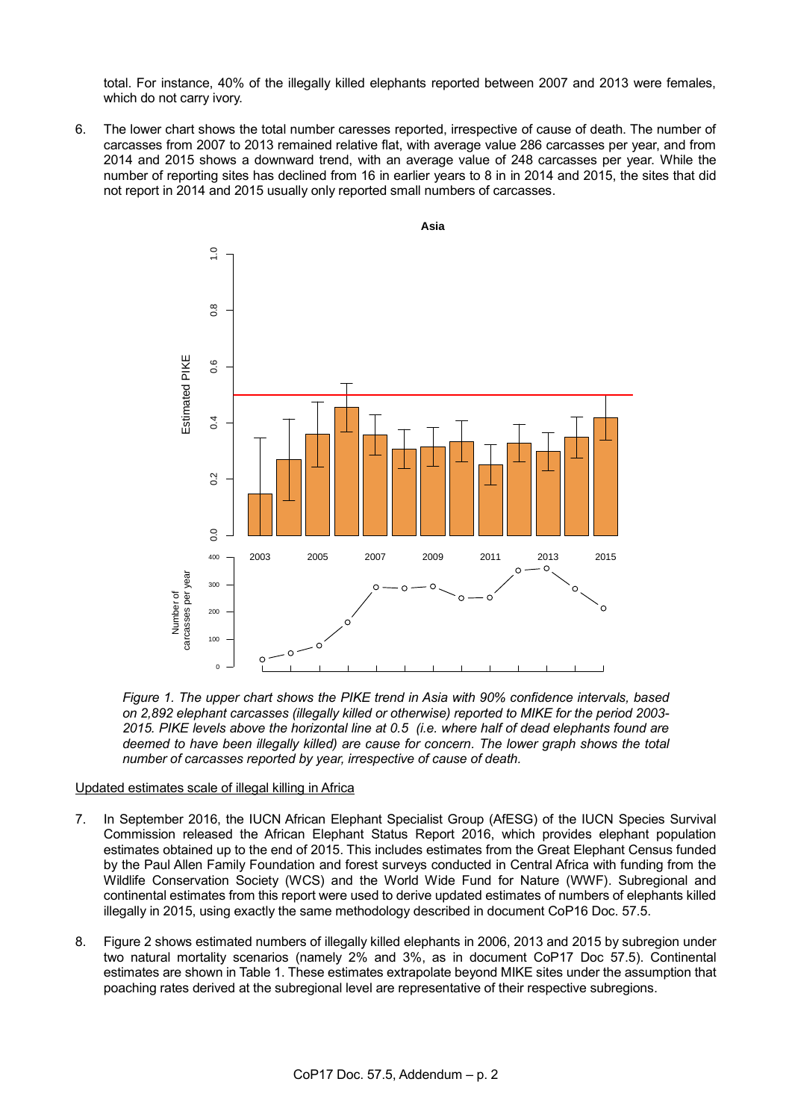total. For instance, 40% of the illegally killed elephants reported between 2007 and 2013 were females, which do not carry ivory.

6. The lower chart shows the total number caresses reported, irrespective of cause of death. The number of carcasses from 2007 to 2013 remained relative flat, with average value 286 carcasses per year, and from 2014 and 2015 shows a downward trend, with an average value of 248 carcasses per year. While the number of reporting sites has declined from 16 in earlier years to 8 in in 2014 and 2015, the sites that did not report in 2014 and 2015 usually only reported small numbers of carcasses.



*Figure 1. The upper chart shows the PIKE trend in Asia with 90% confidence intervals, based on 2,892 elephant carcasses (illegally killed or otherwise) reported to MIKE for the period 2003- 2015. PIKE levels above the horizontal line at 0.5 (i.e. where half of dead elephants found are deemed to have been illegally killed) are cause for concern. The lower graph shows the total number of carcasses reported by year, irrespective of cause of death.* 

### Updated estimates scale of illegal killing in Africa

- 7. In September 2016, the IUCN African Elephant Specialist Group (AfESG) of the IUCN Species Survival Commission released the African Elephant Status Report 2016, which provides elephant population estimates obtained up to the end of 2015. This includes estimates from the Great Elephant Census funded by the Paul Allen Family Foundation and forest surveys conducted in Central Africa with funding from the Wildlife Conservation Society (WCS) and the World Wide Fund for Nature (WWF). Subregional and continental estimates from this report were used to derive updated estimates of numbers of elephants killed illegally in 2015, using exactly the same methodology described in document CoP16 Doc. 57.5.
- 8. [Figure 2](#page-2-0) shows estimated numbers of illegally killed elephants in 2006, 2013 and 2015 by subregion under two natural mortality scenarios (namely 2% and 3%, as in document CoP17 Doc 57.5). Continental estimates are shown in Table 1. These estimates extrapolate beyond MIKE sites under the assumption that poaching rates derived at the subregional level are representative of their respective subregions.